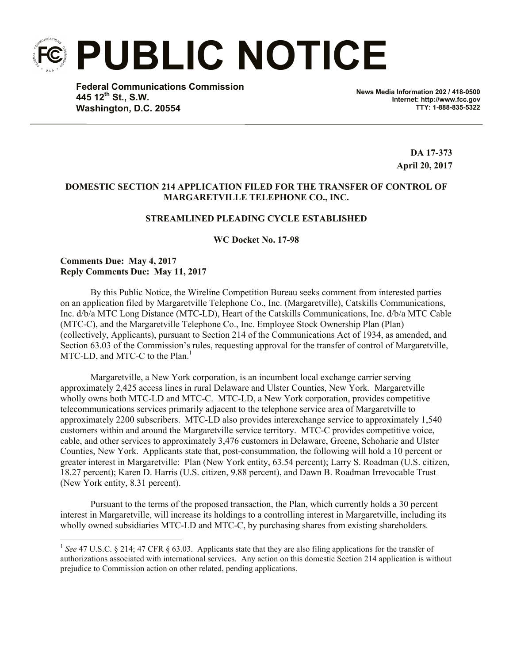**PUBLIC NOTICE**

**Federal Communications Commission 445 12th St., S.W. Washington, D.C. 20554**

**News Media Information 202 / 418-0500 Internet: http://www.fcc.gov TTY: 1-888-835-5322**

> **DA 17-373 April 20, 2017**

## **DOMESTIC SECTION 214 APPLICATION FILED FOR THE TRANSFER OF CONTROL OF MARGARETVILLE TELEPHONE CO., INC.**

## **STREAMLINED PLEADING CYCLE ESTABLISHED**

**WC Docket No. 17-98**

**Comments Due: May 4, 2017 Reply Comments Due: May 11, 2017**

l

By this Public Notice, the Wireline Competition Bureau seeks comment from interested parties on an application filed by Margaretville Telephone Co., Inc. (Margaretville), Catskills Communications, Inc. d/b/a MTC Long Distance (MTC-LD), Heart of the Catskills Communications, Inc. d/b/a MTC Cable (MTC-C), and the Margaretville Telephone Co., Inc. Employee Stock Ownership Plan (Plan) (collectively, Applicants), pursuant to Section 214 of the Communications Act of 1934, as amended, and Section 63.03 of the Commission's rules, requesting approval for the transfer of control of Margaretville, MTC-LD, and MTC-C to the Plan.<sup>1</sup>

Margaretville, a New York corporation, is an incumbent local exchange carrier serving approximately 2,425 access lines in rural Delaware and Ulster Counties, New York. Margaretville wholly owns both MTC-LD and MTC-C. MTC-LD, a New York corporation, provides competitive telecommunications services primarily adjacent to the telephone service area of Margaretville to approximately 2200 subscribers. MTC-LD also provides interexchange service to approximately 1,540 customers within and around the Margaretville service territory. MTC-C provides competitive voice, cable, and other services to approximately 3,476 customers in Delaware, Greene, Schoharie and Ulster Counties, New York. Applicants state that, post-consummation, the following will hold a 10 percent or greater interest in Margaretville: Plan (New York entity, 63.54 percent); Larry S. Roadman (U.S. citizen, 18.27 percent); Karen D. Harris (U.S. citizen, 9.88 percent), and Dawn B. Roadman Irrevocable Trust (New York entity, 8.31 percent).

Pursuant to the terms of the proposed transaction, the Plan, which currently holds a 30 percent interest in Margaretville, will increase its holdings to a controlling interest in Margaretville, including its wholly owned subsidiaries MTC-LD and MTC-C, by purchasing shares from existing shareholders.

<sup>&</sup>lt;sup>1</sup> See 47 U.S.C. § 214; 47 CFR § 63.03. Applicants state that they are also filing applications for the transfer of authorizations associated with international services. Any action on this domestic Section 214 application is without prejudice to Commission action on other related, pending applications.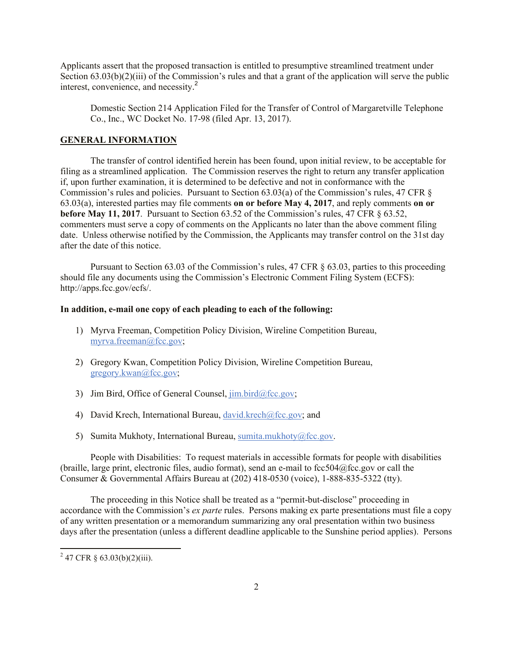Applicants assert that the proposed transaction is entitled to presumptive streamlined treatment under Section  $63.03(b)(2)(iii)$  of the Commission's rules and that a grant of the application will serve the public interest, convenience, and necessity. 2

Domestic Section 214 Application Filed for the Transfer of Control of Margaretville Telephone Co., Inc., WC Docket No. 17-98 (filed Apr. 13, 2017).

## **GENERAL INFORMATION**

The transfer of control identified herein has been found, upon initial review, to be acceptable for filing as a streamlined application. The Commission reserves the right to return any transfer application if, upon further examination, it is determined to be defective and not in conformance with the Commission's rules and policies. Pursuant to Section 63.03(a) of the Commission's rules, 47 CFR § 63.03(a), interested parties may file comments **on or before May 4, 2017**, and reply comments **on or before May 11, 2017**. Pursuant to Section 63.52 of the Commission's rules, 47 CFR § 63.52, commenters must serve a copy of comments on the Applicants no later than the above comment filing date. Unless otherwise notified by the Commission, the Applicants may transfer control on the 31st day after the date of this notice.

Pursuant to Section 63.03 of the Commission's rules, 47 CFR § 63.03, parties to this proceeding should file any documents using the Commission's Electronic Comment Filing System (ECFS): http://apps.fcc.gov/ecfs/.

## **In addition, e-mail one copy of each pleading to each of the following:**

- 1) Myrva Freeman, Competition Policy Division, Wireline Competition Bureau, myrva.freeman@fcc.gov;
- 2) Gregory Kwan, Competition Policy Division, Wireline Competition Bureau, gregory.kwan@fcc.gov;
- 3) Jim Bird, Office of General Counsel,  $\lim_{\Delta x \to 0}$  bird@fcc.gov;
- 4) David Krech, International Bureau, david.krech@fcc.gov; and
- 5) Sumita Mukhoty, International Bureau, sumita.mukhoty@fcc.gov.

People with Disabilities: To request materials in accessible formats for people with disabilities (braille, large print, electronic files, audio format), send an e-mail to fcc504@fcc.gov or call the Consumer & Governmental Affairs Bureau at (202) 418-0530 (voice), 1-888-835-5322 (tty).

The proceeding in this Notice shall be treated as a "permit-but-disclose" proceeding in accordance with the Commission's *ex parte* rules. Persons making ex parte presentations must file a copy of any written presentation or a memorandum summarizing any oral presentation within two business days after the presentation (unless a different deadline applicable to the Sunshine period applies). Persons

l

 $2^{2}$  47 CFR § 63.03(b)(2)(iii).